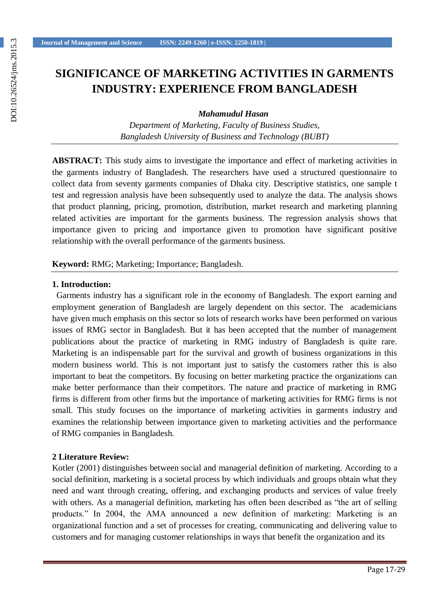# **SIGNIFICANCE OF MARKETING ACTIVITIES IN GARMENTS INDUSTRY: EXPERIENCE FROM BANGLADESH**

*Mahamudul Hasan*

*Department of Marketing, Faculty of Business Studies, Bangladesh University of Business and Technology (BUBT)*

**ABSTRACT:** This study aims to investigate the importance and effect of marketing activities in the garments industry of Bangladesh. The researchers have used a structured questionnaire to collect data from seventy garments companies of Dhaka city. Descriptive statistics, one sample t test and regression analysis have been subsequently used to analyze the data. The analysis shows that product planning, pricing, promotion, distribution, market research and marketing planning related activities are important for the garments business. The regression analysis shows that importance given to pricing and importance given to promotion have significant positive relationship with the overall performance of the garments business.

**Keyword:** RMG; Marketing; Importance; Bangladesh.

### **1. Introduction:**

Garments industry has a significant role in the economy of Bangladesh. The export earning and employment generation of Bangladesh are largely dependent on this sector. The academicians have given much emphasis on this sector so lots of research works have been performed on various issues of RMG sector in Bangladesh. But it has been accepted that the number of management publications about the practice of marketing in RMG industry of Bangladesh is quite rare. Marketing is an indispensable part for the survival and growth of business organizations in this modern business world. This is not important just to satisfy the customers rather this is also important to beat the competitors. By focusing on better marketing practice the organizations can make better performance than their competitors. The nature and practice of marketing in RMG firms is different from other firms but the importance of marketing activities for RMG firms is not small. This study focuses on the importance of marketing activities in garments industry and examines the relationship between importance given to marketing activities and the performance of RMG companies in Bangladesh.

### **2 Literature Review:**

Kotler (2001) distinguishes between social and managerial definition of marketing. According to a social definition, marketing is a societal process by which individuals and groups obtain what they need and want through creating, offering, and exchanging products and services of value freely with others. As a managerial definition, marketing has often been described as "the art of selling products." In 2004, the AMA announced a new definition of marketing: Marketing is an organizational function and a set of processes for creating, communicating and delivering value to customers and for managing customer relationships in ways that benefit the organization and its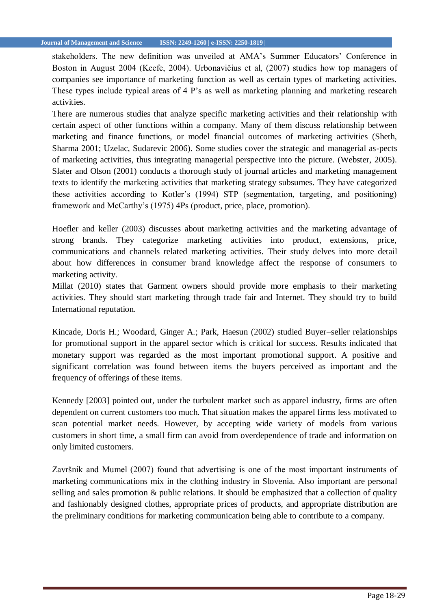stakeholders. The new definition was unveiled at AMA's Summer Educators' Conference in Boston in August 2004 (Keefe, 2004). Urbonavičius et al, (2007) studies how top managers of companies see importance of marketing function as well as certain types of marketing activities. These types include typical areas of 4 P's as well as marketing planning and marketing research activities.

There are numerous studies that analyze specific marketing activities and their relationship with certain aspect of other functions within a company. Many of them discuss relationship between marketing and finance functions, or model financial outcomes of marketing activities (Sheth, Sharma 2001; Uzelac, Sudarevic 2006). Some studies cover the strategic and managerial as-pects of marketing activities, thus integrating managerial perspective into the picture. (Webster, 2005). Slater and Olson (2001) conducts a thorough study of journal articles and marketing management texts to identify the marketing activities that marketing strategy subsumes. They have categorized these activities according to Kotler's (1994) STP (segmentation, targeting, and positioning) framework and McCarthy's (1975) 4Ps (product, price, place, promotion).

Hoefler and keller (2003) discusses about marketing activities and the marketing advantage of strong brands. They categorize marketing activities into product, extensions, price, communications and channels related marketing activities. Their study delves into more detail about how differences in consumer brand knowledge affect the response of consumers to marketing activity.

Millat (2010) states that Garment owners should provide more emphasis to their marketing activities. They should start marketing through trade fair and Internet. They should try to build International reputation.

Kincade, Doris H.; Woodard, Ginger A.; Park, Haesun (2002) studied Buyer–seller relationships for promotional support in the apparel sector which is critical for success. Results indicated that monetary support was regarded as the most important promotional support. A positive and significant correlation was found between items the buyers perceived as important and the frequency of offerings of these items.

Kennedy [2003] pointed out, under the turbulent market such as apparel industry, firms are often dependent on current customers too much. That situation makes the apparel firms less motivated to scan potential market needs. However, by accepting wide variety of models from various customers in short time, a small firm can avoid from overdependence of trade and information on only limited customers.

Završnik and Mumel (2007) found that advertising is one of the most important instruments of marketing communications mix in the clothing industry in Slovenia. Also important are personal selling and sales promotion & public relations. It should be emphasized that a collection of quality and fashionably designed clothes, appropriate prices of products, and appropriate distribution are the preliminary conditions for marketing communication being able to contribute to a company.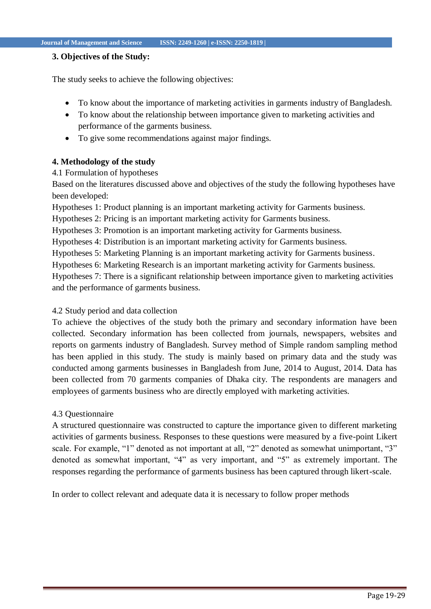### **3. Objectives of the Study:**

The study seeks to achieve the following objectives:

- To know about the importance of marketing activities in garments industry of Bangladesh.
- To know about the relationship between importance given to marketing activities and performance of the garments business.
- To give some recommendations against major findings.

# **4. Methodology of the study**

### 4.1 Formulation of hypotheses

Based on the literatures discussed above and objectives of the study the following hypotheses have been developed:

Hypotheses 1: Product planning is an important marketing activity for Garments business.

Hypotheses 2: Pricing is an important marketing activity for Garments business.

Hypotheses 3: Promotion is an important marketing activity for Garments business.

Hypotheses 4: Distribution is an important marketing activity for Garments business.

Hypotheses 5: Marketing Planning is an important marketing activity for Garments business.

Hypotheses 6: Marketing Research is an important marketing activity for Garments business.

Hypotheses 7: There is a significant relationship between importance given to marketing activities and the performance of garments business.

# 4.2 Study period and data collection

To achieve the objectives of the study both the primary and secondary information have been collected. Secondary information has been collected from journals, newspapers, websites and reports on garments industry of Bangladesh. Survey method of Simple random sampling method has been applied in this study. The study is mainly based on primary data and the study was conducted among garments businesses in Bangladesh from June, 2014 to August, 2014. Data has been collected from 70 garments companies of Dhaka city. The respondents are managers and employees of garments business who are directly employed with marketing activities.

# 4.3 Questionnaire

A structured questionnaire was constructed to capture the importance given to different marketing activities of garments business. Responses to these questions were measured by a five-point Likert scale. For example, "1" denoted as not important at all, "2" denoted as somewhat unimportant, "3" denoted as somewhat important, "4" as very important, and "5" as extremely important. The responses regarding the performance of garments business has been captured through likert-scale.

In order to collect relevant and adequate data it is necessary to follow proper methods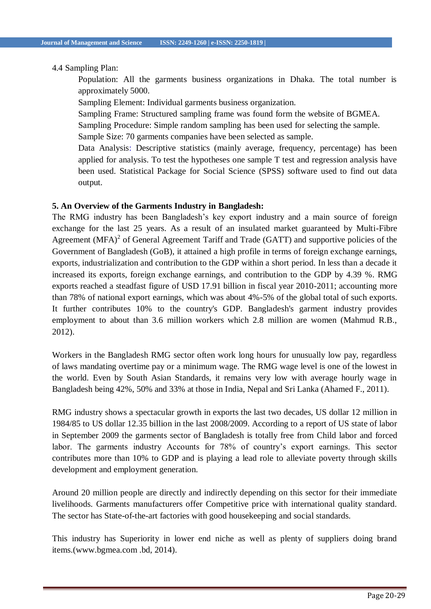# 4.4 Sampling Plan:

Population: All the garments business organizations in Dhaka. The total number is approximately 5000.

Sampling Element: Individual garments business organization.

Sampling Frame: Structured sampling frame was found form the website of BGMEA.

Sampling Procedure: Simple random sampling has been used for selecting the sample. Sample Size: 70 garments companies have been selected as sample.

Data Analysis: Descriptive statistics (mainly average, frequency, percentage) has been applied for analysis. To test the hypotheses one sample T test and regression analysis have been used. Statistical Package for Social Science (SPSS) software used to find out data output.

# **5. An Overview of the Garments Industry in Bangladesh:**

The RMG industry has been Bangladesh's key export industry and a main source of foreign exchange for the last 25 years. As a result of an insulated market guaranteed by Multi-Fibre Agreement  $(MFA)^2$  of General Agreement Tariff and Trade (GATT) and supportive policies of the Government of Bangladesh (GoB), it attained a high profile in terms of foreign exchange earnings, exports, industrialization and contribution to the GDP within a short period. In less than a decade it increased its exports, foreign exchange earnings, and contribution to the GDP by 4.39 %. RMG exports reached a steadfast figure of USD 17.91 billion in fiscal year 2010-2011; accounting more than 78% of national export earnings, which was about 4%-5% of the global total of such exports. It further contributes 10% to the country's GDP. Bangladesh's garment industry provides employment to about than 3.6 million workers which 2.8 million are women (Mahmud R.B., 2012).

Workers in the Bangladesh RMG sector often work long hours for unusually low pay, regardless of laws mandating overtime pay or a minimum wage. The RMG wage level is one of the lowest in the world. Even by South Asian Standards, it remains very low with average hourly wage in Bangladesh being 42%, 50% and 33% at those in India, Nepal and Sri Lanka (Ahamed F., 2011).

RMG industry shows a spectacular growth in exports the last two decades, US dollar 12 million in 1984/85 to US dollar 12.35 billion in the last 2008/2009. According to a report of US state of labor in September 2009 the garments sector of Bangladesh is totally free from Child labor and forced labor. The garments industry Accounts for 78% of country's export earnings. This sector contributes more than 10% to GDP and is playing a lead role to alleviate poverty through skills development and employment generation.

Around 20 million people are directly and indirectly depending on this sector for their immediate livelihoods. Garments manufacturers offer Competitive price with international quality standard. The sector has State-of-the-art factories with good housekeeping and social standards.

This industry has Superiority in lower end niche as well as plenty of suppliers doing brand items[.\(www.bgmea.com .](http://www.bgmea.com/)bd, 2014).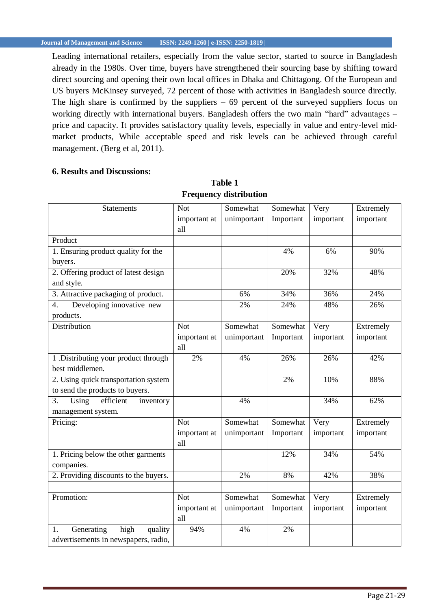Leading international retailers, especially from the value sector, started to source in Bangladesh already in the 1980s. Over time, buyers have strengthened their sourcing base by shifting toward direct sourcing and opening their own local offices in Dhaka and Chittagong. Of the European and US buyers McKinsey surveyed, 72 percent of those with activities in Bangladesh source directly. The high share is confirmed by the suppliers  $-69$  percent of the surveyed suppliers focus on working directly with international buyers. Bangladesh offers the two main "hard" advantages – price and capacity. It provides satisfactory quality levels, especially in value and entry-level midmarket products, While acceptable speed and risk levels can be achieved through careful management. (Berg et al, 2011).

# **6. Results and Discussions:**

| <b>Statements</b>                             | <b>Not</b>                     | Somewhat    | Somewhat  | Very      | Extremely |
|-----------------------------------------------|--------------------------------|-------------|-----------|-----------|-----------|
|                                               | important at<br>all            | unimportant | Important | important | important |
| Product                                       |                                |             |           |           |           |
| 1. Ensuring product quality for the           |                                |             | 4%        | 6%        | 90%       |
| buyers.                                       |                                |             |           |           |           |
| 2. Offering product of latest design          |                                |             | 20%       | 32%       | 48%       |
| and style.                                    |                                |             |           |           |           |
| 3. Attractive packaging of product.           |                                | 6%          | 34%       | 36%       | 24%       |
| Developing innovative new<br>$\overline{4}$ . |                                | 2%          | 24%       | 48%       | 26%       |
| products.                                     |                                |             |           |           |           |
| Distribution                                  | <b>Not</b>                     | Somewhat    | Somewhat  | Very      | Extremely |
|                                               | important at                   | unimportant | Important | important | important |
|                                               | all                            |             |           |           |           |
| 1. Distributing your product through          | 2%                             | 4%          | 26%       | 26%       | 42%       |
| best middlemen.                               |                                |             |           |           |           |
| 2. Using quick transportation system          |                                |             | 2%        | 10%       | 88%       |
| to send the products to buyers.               |                                |             |           |           |           |
| Using<br>efficient<br>inventory<br>3.         |                                | 4%          |           | 34%       | 62%       |
| management system.                            |                                |             |           |           |           |
| Pricing:                                      | <b>Not</b>                     | Somewhat    | Somewhat  | Very      | Extremely |
|                                               | important at<br>$\mathbf{all}$ | unimportant | Important | important | important |
| 1. Pricing below the other garments           |                                |             | 12%       | 34%       | 54%       |
| companies.                                    |                                |             |           |           |           |
| 2. Providing discounts to the buyers.         |                                | 2%          | 8%        | 42%       | 38%       |
|                                               |                                |             |           |           |           |
| Promotion:                                    | <b>Not</b>                     | Somewhat    | Somewhat  | Very      | Extremely |
|                                               | important at                   | unimportant | Important | important | important |
|                                               | all                            |             |           |           |           |
| Generating<br>high<br>quality<br>1.           | 94%                            | 4%          | 2%        |           |           |
| advertisements in newspapers, radio,          |                                |             |           |           |           |

# **Table 1 Frequency distribution**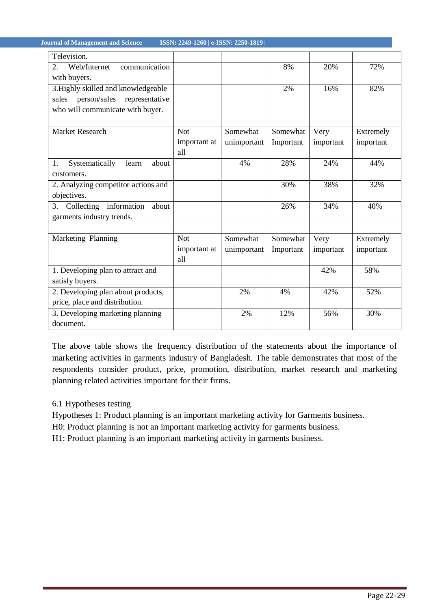**Journal of Management and Science ISSN: 2249-1260 | e-ISSN: 2250-1819 |** 

| Television.                            |              |             |           |           |           |
|----------------------------------------|--------------|-------------|-----------|-----------|-----------|
| communication<br>Web/Internet<br>2.    |              |             | 8%        | 20%       | 72%       |
| with buyers.                           |              |             |           |           |           |
| 3. Highly skilled and knowledgeable    |              |             | 2%        | 16%       | 82%       |
| sales person/sales representative      |              |             |           |           |           |
| who will communicate with buyer.       |              |             |           |           |           |
|                                        |              |             |           |           |           |
| <b>Market Research</b>                 | <b>Not</b>   | Somewhat    | Somewhat  | Very      | Extremely |
|                                        | important at | unimportant | Important | important | important |
|                                        | all          |             |           |           |           |
| Systematically<br>1.<br>learn<br>about |              | 4%          | 28%       | 24%       | 44%       |
| customers.                             |              |             |           |           |           |
| 2. Analyzing competitor actions and    |              |             | 30%       | 38%       | 32%       |
| objectives.                            |              |             |           |           |           |
| 3. Collecting information about        |              |             | 26%       | 34%       | 40%       |
| garments industry trends.              |              |             |           |           |           |
|                                        |              |             |           |           |           |
| Marketing Planning                     | <b>Not</b>   | Somewhat    | Somewhat  | Very      | Extremely |
|                                        | important at | unimportant | Important | important | important |
|                                        | all          |             |           |           |           |
| 1. Developing plan to attract and      |              |             |           | 42%       | 58%       |
| satisfy buyers.                        |              |             |           |           |           |
| 2. Developing plan about products,     |              | 2%          | 4%        | 42%       | 52%       |
| price, place and distribution.         |              |             |           |           |           |
| 3. Developing marketing planning       |              | 2%          | 12%       | 56%       | 30%       |
| document.                              |              |             |           |           |           |

The above table shows the frequency distribution of the statements about the importance of marketing activities in garments industry of Bangladesh. The table demonstrates that most of the respondents consider product, price, promotion, distribution, market research and marketing planning related activities important for their firms.

# 6.1 Hypotheses testing

Hypotheses 1: Product planning is an important marketing activity for Garments business.

H0: Product planning is not an important marketing activity for garments business.

H1: Product planning is an important marketing activity in garments business.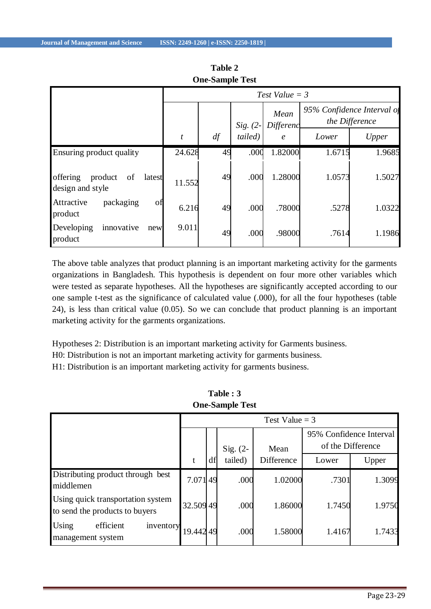|                                                         |        | Test Value = $3$ |            |                   |        |                                              |  |  |  |  |
|---------------------------------------------------------|--------|------------------|------------|-------------------|--------|----------------------------------------------|--|--|--|--|
|                                                         |        |                  | $Sig. (2-$ | Mean<br>Differenc |        | 95% Confidence Interval of<br>the Difference |  |  |  |  |
|                                                         | t      | df               | tailed)    | $\epsilon$        | Lower  | Upper                                        |  |  |  |  |
| Ensuring product quality                                | 24.628 | 49               | .000       | 1.82000           | 1.6715 | 1.9685                                       |  |  |  |  |
| offering<br>of<br>product<br>latest<br>design and style | 11.552 | 49               | .000       | 1.28000           | 1.0573 | 1.5027                                       |  |  |  |  |
| packaging<br>Attractive<br>of<br>product                | 6.216  | 49               | .000       | .78000            | .5278  | 1.0322                                       |  |  |  |  |
| innovative<br>Developing<br>new<br>product              | 9.011  | 49               | .000       | .98000            | .7614  | 1.1986                                       |  |  |  |  |

**Table 2 One-Sample Test**

The above table analyzes that product planning is an important marketing activity for the garments organizations in Bangladesh. This hypothesis is dependent on four more other variables which were tested as separate hypotheses. All the hypotheses are significantly accepted according to our one sample t-test as the significance of calculated value (.000), for all the four hypotheses (table 24), is less than critical value (0.05). So we can conclude that product planning is an important marketing activity for the garments organizations.

Hypotheses 2: Distribution is an important marketing activity for Garments business.

H0: Distribution is not an important marketing activity for garments business.

H1: Distribution is an important marketing activity for garments business.

|                                                                     | Test Value = $3$ |    |            |            |                                              |        |  |  |
|---------------------------------------------------------------------|------------------|----|------------|------------|----------------------------------------------|--------|--|--|
|                                                                     |                  |    | Sig. $(2-$ | Mean       | 95% Confidence Interval<br>of the Difference |        |  |  |
|                                                                     | t                | df | tailed)    | Difference | Lower                                        | Upper  |  |  |
| Distributing product through best<br>middlemen                      | 7.07149          |    | .000       | 1.02000    | .7301                                        | 1.3099 |  |  |
| Using quick transportation system<br>to send the products to buyers | 32.509 49        |    | .000       | 1.86000    | 1.7450                                       | 1.9750 |  |  |
| Using<br>efficient<br>inventory<br>management system                | 19.44249         |    | .000       | 1.58000    | 1.4167                                       | 1.7433 |  |  |

**Table : 3 One-Sample Test**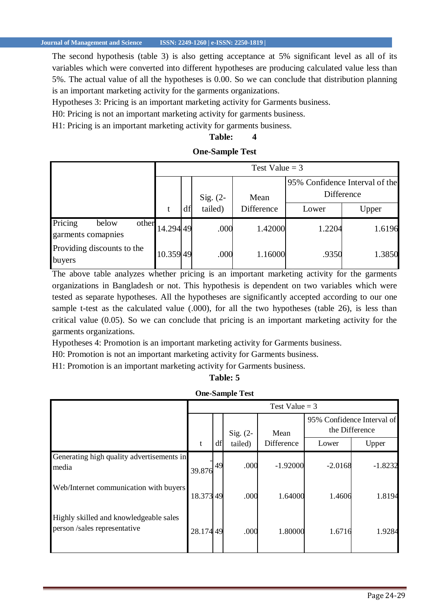The second hypothesis (table 3) is also getting acceptance at 5% significant level as all of its variables which were converted into different hypotheses are producing calculated value less than 5%. The actual value of all the hypotheses is 0.00. So we can conclude that distribution planning is an important marketing activity for the garments organizations.

Hypotheses 3: Pricing is an important marketing activity for Garments business.

H0: Pricing is not an important marketing activity for garments business.

H1: Pricing is an important marketing activity for garments business.

### **Table: 4**

### **One-Sample Test**

|                                                 |           |    | Sig. $(2-$ | Mean       |        | 95% Confidence Interval of the<br>Difference |
|-------------------------------------------------|-----------|----|------------|------------|--------|----------------------------------------------|
|                                                 |           | df | tailed)    | Difference | Lower  | Upper                                        |
| Pricing<br>below<br>other<br>garments comapnies | 14.294 49 |    | .000       | 1.42000    | 1.2204 | 1.6196                                       |
| Providing discounts to the<br>buyers            | 10.359 49 |    | .000       | 1.16000    | .9350  | 1.3850                                       |

The above table analyzes whether pricing is an important marketing activity for the garments organizations in Bangladesh or not. This hypothesis is dependent on two variables which were tested as separate hypotheses. All the hypotheses are significantly accepted according to our one sample t-test as the calculated value (.000), for all the two hypotheses (table 26), is less than critical value (0.05). So we can conclude that pricing is an important marketing activity for the garments organizations.

Hypotheses 4: Promotion is an important marketing activity for Garments business.

H0: Promotion is not an important marketing activity for Garments business.

H1: Promotion is an important marketing activity for Garments business.

**Table: 5**

|                                                                       | Test Value = $3$ |    |            |            |           |                                              |  |  |  |
|-----------------------------------------------------------------------|------------------|----|------------|------------|-----------|----------------------------------------------|--|--|--|
|                                                                       |                  |    | Sig. $(2-$ | Mean       |           | 95% Confidence Interval of<br>the Difference |  |  |  |
|                                                                       | t                | df | tailed)    | Difference | Lower     | Upper                                        |  |  |  |
| Generating high quality advertisements in<br>media                    | 39.876           | 49 | .000       | $-1.92000$ | $-2.0168$ | $-1.8232$                                    |  |  |  |
| Web/Internet communication with buyers                                | 18.373 49        |    | .000       | 1.64000    | 1.4606    | 1.8194                                       |  |  |  |
| Highly skilled and knowledgeable sales<br>person/sales representative | 28.174 49        |    | .000       | 1.80000    | 1.6716    | 1.9284                                       |  |  |  |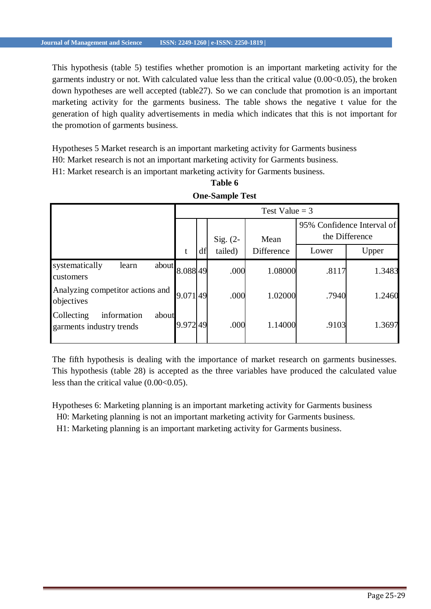This hypothesis (table 5) testifies whether promotion is an important marketing activity for the garments industry or not. With calculated value less than the critical value  $(0.00<0.05)$ , the broken down hypotheses are well accepted (table27). So we can conclude that promotion is an important marketing activity for the garments business. The table shows the negative t value for the generation of high quality advertisements in media which indicates that this is not important for the promotion of garments business.

Hypotheses 5 Market research is an important marketing activity for Garments business H0: Market research is not an important marketing activity for Garments business.

H1: Market research is an important marketing activity for Garments business.

|                                                                | Test Value = $3$ |    |            |            |                                              |        |  |  |
|----------------------------------------------------------------|------------------|----|------------|------------|----------------------------------------------|--------|--|--|
|                                                                |                  |    | Sig. $(2-$ | Mean       | 95% Confidence Interval of<br>the Difference |        |  |  |
|                                                                | t                | df | tailed)    | Difference | Lower                                        | Upper  |  |  |
| systematically<br>learn<br>about<br>customers                  | 8.088 49         |    | .000       | 1.08000    | .8117                                        | 1.3483 |  |  |
| Analyzing competitor actions and<br>objectives                 | 9.07149          |    | .000       | 1.02000    | .7940                                        | 1.2460 |  |  |
| information<br>Collecting<br>about<br>garments industry trends | 9.97249          |    | .000       | 1.14000    | .9103                                        | 1.3697 |  |  |

**Table 6 One-Sample Test**

The fifth hypothesis is dealing with the importance of market research on garments businesses. This hypothesis (table 28) is accepted as the three variables have produced the calculated value less than the critical value  $(0.00<0.05)$ .

Hypotheses 6: Marketing planning is an important marketing activity for Garments business

H0: Marketing planning is not an important marketing activity for Garments business.

H1: Marketing planning is an important marketing activity for Garments business.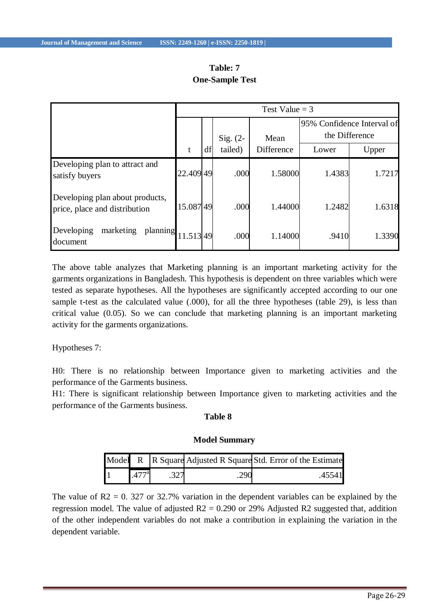| <b>Table: 7</b>        |  |
|------------------------|--|
| <b>One-Sample Test</b> |  |

|                                                                  | Test Value = $3$ |    |            |            |        |                                              |  |  |
|------------------------------------------------------------------|------------------|----|------------|------------|--------|----------------------------------------------|--|--|
|                                                                  |                  |    | Sig. $(2-$ | Mean       |        | 95% Confidence Interval of<br>the Difference |  |  |
|                                                                  |                  | df | tailed)    | Difference | Lower  | Upper                                        |  |  |
| Developing plan to attract and<br>satisfy buyers                 | 22.409 49        |    | .000       | 1.58000    | 1.4383 | 1.7217                                       |  |  |
| Developing plan about products,<br>price, place and distribution | 15.08749         |    | .000       | 1.44000    | 1.2482 | 1.6318                                       |  |  |
| marketing<br>Developing<br>planning<br>document                  | 11.513 49        |    | .000       | 1.14000    | .9410  | 1.3390                                       |  |  |

The above table analyzes that Marketing planning is an important marketing activity for the garments organizations in Bangladesh. This hypothesis is dependent on three variables which were tested as separate hypotheses. All the hypotheses are significantly accepted according to our one sample t-test as the calculated value (.000), for all the three hypotheses (table 29), is less than critical value (0.05). So we can conclude that marketing planning is an important marketing activity for the garments organizations.

Hypotheses 7:

H0: There is no relationship between Importance given to marketing activities and the performance of the Garments business.

H1: There is significant relationship between Importance given to marketing activities and the performance of the Garments business.

# **Table 8**

### **Model Summary**

|                |      | Model R   R Square Adjusted R Square Std. Error of the Estimate |
|----------------|------|-----------------------------------------------------------------|
| $.477^{\rm a}$ | .290 | .45541                                                          |

The value of  $R2 = 0.327$  or 32.7% variation in the dependent variables can be explained by the regression model. The value of adjusted  $R2 = 0.290$  or 29% Adjusted R2 suggested that, addition of the other independent variables do not make a contribution in explaining the variation in the dependent variable.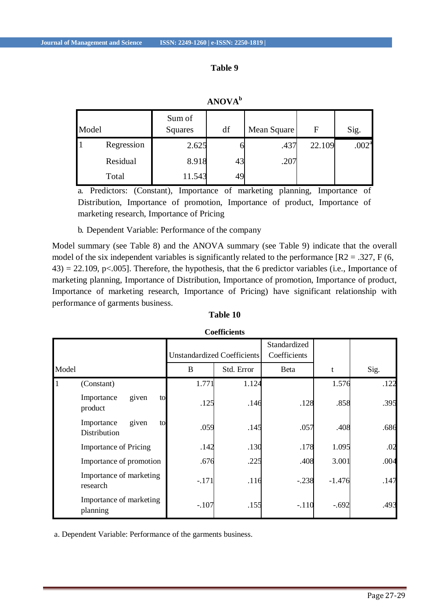# **Table 9**

| Model |            | Sum of<br>Squares | df | Mean Square | F      | Sig.              |
|-------|------------|-------------------|----|-------------|--------|-------------------|
|       | Regression | 2.625             |    | .437        | 22.109 | .002 <sup>a</sup> |
|       | Residual   | 8.918             | 43 | .207        |        |                   |
|       | Total      | 11.543            | 49 |             |        |                   |

**ANOVA<sup>b</sup>**

a. Predictors: (Constant), Importance of marketing planning, Importance of Distribution, Importance of promotion, Importance of product, Importance of marketing research, Importance of Pricing

b. Dependent Variable: Performance of the company

Model summary (see Table 8) and the ANOVA summary (see Table 9) indicate that the overall model of the six independent variables is significantly related to the performance  $[{\rm R2} = .327, {\rm F} (6,$  $43$ ) = 22.109, p<.005]. Therefore, the hypothesis, that the 6 predictor variables (i.e., Importance of marketing planning, Importance of Distribution, Importance of promotion, Importance of product, Importance of marketing research, Importance of Pricing) have significant relationship with performance of garments business.

|       |                                           |         | <b>Unstandardized Coefficients</b> | Standardized<br>Coefficients |          |      |
|-------|-------------------------------------------|---------|------------------------------------|------------------------------|----------|------|
| Model |                                           | B       | Std. Error                         | Beta                         | t        | Sig. |
|       | (Constant)                                | 1.771   | 1.124                              |                              | 1.576    | .122 |
|       | given<br>Importance<br>to<br>product      | .125    | .146                               | .128                         | .858     | .395 |
|       | given<br>Importance<br>to<br>Distribution | .059    | .145                               | .057                         | .408     | .686 |
|       | <b>Importance of Pricing</b>              | .142    | .130                               | .178                         | 1.095    | .02  |
|       | Importance of promotion                   | .676    | .225                               | .408                         | 3.001    | .004 |
|       | Importance of marketing<br>research       | $-.171$ | .116                               | $-.238$                      | $-1.476$ | .147 |
|       | Importance of marketing<br>planning       | $-.107$ | .155                               | $-.110$                      | $-.692$  | .493 |

# **Table 10**

**Coefficients**

a. Dependent Variable: Performance of the garments business.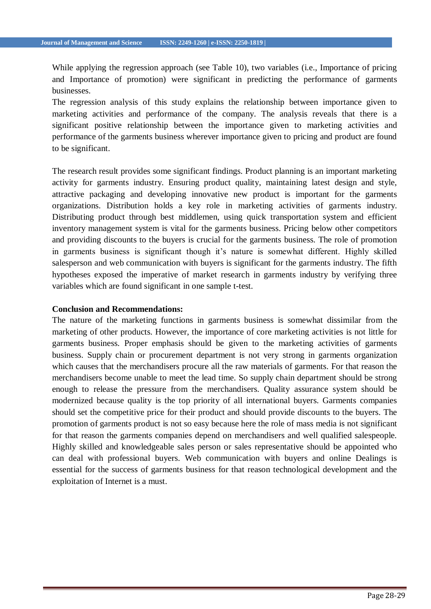While applying the regression approach (see Table 10), two variables (i.e., Importance of pricing and Importance of promotion) were significant in predicting the performance of garments businesses.

The regression analysis of this study explains the relationship between importance given to marketing activities and performance of the company. The analysis reveals that there is a significant positive relationship between the importance given to marketing activities and performance of the garments business wherever importance given to pricing and product are found to be significant.

The research result provides some significant findings. Product planning is an important marketing activity for garments industry. Ensuring product quality, maintaining latest design and style, attractive packaging and developing innovative new product is important for the garments organizations. Distribution holds a key role in marketing activities of garments industry. Distributing product through best middlemen, using quick transportation system and efficient inventory management system is vital for the garments business. Pricing below other competitors and providing discounts to the buyers is crucial for the garments business. The role of promotion in garments business is significant though it's nature is somewhat different. Highly skilled salesperson and web communication with buyers is significant for the garments industry. The fifth hypotheses exposed the imperative of market research in garments industry by verifying three variables which are found significant in one sample t-test.

### **Conclusion and Recommendations:**

The nature of the marketing functions in garments business is somewhat dissimilar from the marketing of other products. However, the importance of core marketing activities is not little for garments business. Proper emphasis should be given to the marketing activities of garments business. Supply chain or procurement department is not very strong in garments organization which causes that the merchandisers procure all the raw materials of garments. For that reason the merchandisers become unable to meet the lead time. So supply chain department should be strong enough to release the pressure from the merchandisers. Quality assurance system should be modernized because quality is the top priority of all international buyers. Garments companies should set the competitive price for their product and should provide discounts to the buyers. The promotion of garments product is not so easy because here the role of mass media is not significant for that reason the garments companies depend on merchandisers and well qualified salespeople. Highly skilled and knowledgeable sales person or sales representative should be appointed who can deal with professional buyers. Web communication with buyers and online Dealings is essential for the success of garments business for that reason technological development and the exploitation of Internet is a must.